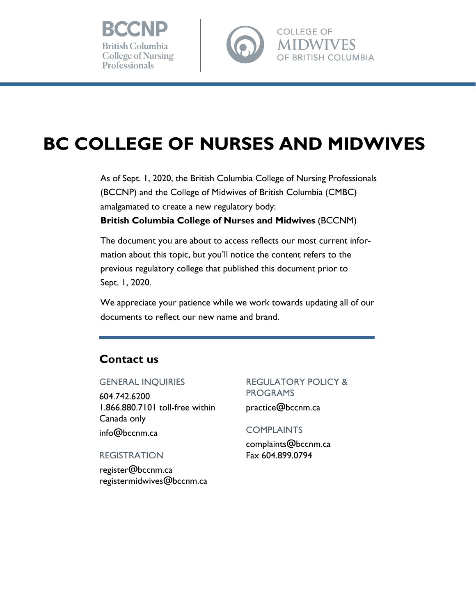



**BRITISH COLUMBIA** 

# **BC COLLEGE OF NURSES AND MIDWIVES**

As of Sept. 1, 2020, the British Columbia College of Nursing Professionals (BCCNP) and the College of Midwives of British Columbia (CMBC) amalgamated to create a new regulatory body: **British Columbia College of Nurses and Midwives** (BCCNM)

The document you are about to access reflects our most current information about this topic, but you'll notice the content refers to the previous regulatory college that published this document prior to Sept. 1, 2020.

We appreciate your patience while we work towards updating all of our documents to reflect our new name and brand.

# **Contact us**

#### GENERAL INQUIRIES

604.742.6200 1.866.880.7101 toll-free within Canada only [info@bccnm.ca](mailto:info@bccnm.ca)

REGISTRATION

[register@bccnm.ca](mailto:register@bccnm.ca) [registermidwives@bccnm.ca](mailto:registermidwives@bccnm.ca) 

# REGULATORY POLICY & PROGRAMS

[practice@bccnm.ca](mailto:practice@bccnm.ca)

#### **COMPLAINTS**

[complaints@bccnm.ca](mailto:complaints@bccnm.ca)  Fax 604.899. 0794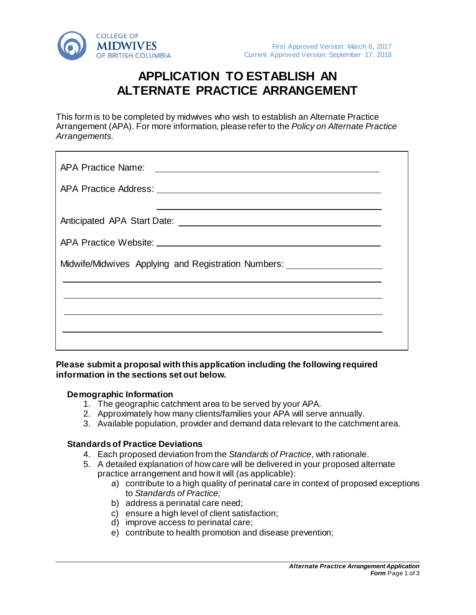

# **APPLICATION TO ESTABLISH AN ALTERNATE PRACTICE ARRANGEMENT**

This form is to be completed by midwives who wish to establish an Alternate Practice Arrangement (APA). For more information, please refer to the *Policy on Alternate Practice Arrangements.*

| Midwife/Midwives Applying and Registration Numbers: ____________________________ |  |
|----------------------------------------------------------------------------------|--|
|                                                                                  |  |
|                                                                                  |  |
|                                                                                  |  |

### **Please submit a proposal with this application including the following required information in the sections set out below.**

#### **Demographic Information**

- 1. The geographic catchment area to be served by your APA.
- 2. Approximately how many clients/families your APA will serve annually.
- 3. Available population, provider and demand data relevant to the catchment area.

#### **Standards of Practice Deviations**

- 4. Each proposed deviation from the *Standards of Practice*, with rationale.
- 5. A detailed explanation of how care will be delivered in your proposed alternate practice arrangement and how it will (as applicable):
	- a) contribute to a high quality of perinatal care in context of proposed exceptions to *Standards of Practice;*
	- b) address a perinatal care need;
	- c) ensure a high level of client satisfaction;
	- d) improve access to perinatal care;
	- e) contribute to health promotion and disease prevention;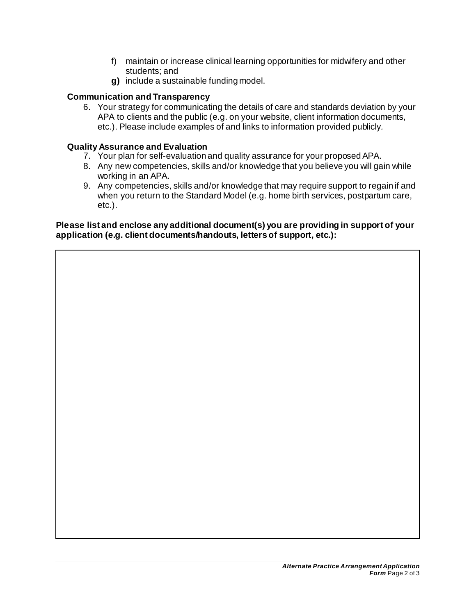- f) maintain or increase clinical learning opportunities for midwifery and other students; and
- **g)** include a sustainable funding model.

## **Communication and Transparency**

6. Your strategy for communicating the details of care and standards deviation by your APA to clients and the public (e.g. on your website, client information documents, etc.). Please include examples of and links to information provided publicly*.*

## **Quality Assurance and Evaluation**

- 7. Your plan for self-evaluation and quality assurance for your proposed APA.
- 8. Any new competencies, skills and/or knowledge that you believe you will gain while working in an APA.
- 9. Any competencies, skills and/or knowledge that may require support to regain if and when you return to the Standard Model (e.g. home birth services, postpartum care, etc.).

**Please list and enclose any additional document(s) you are providing in support of your application (e.g. client documents/handouts, letters of support, etc.):**